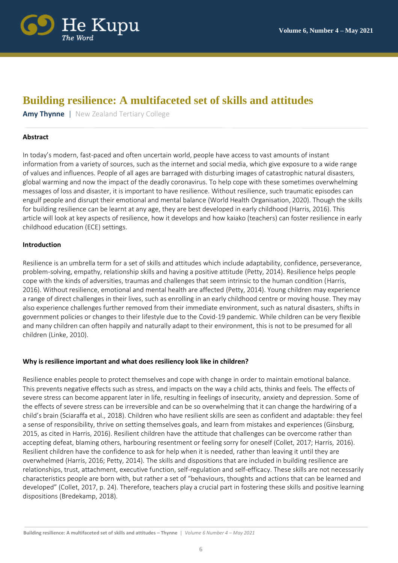

# **Building resilience: A multifaceted set of skills and attitudes**

**Amy Thynne** | New Zealand Tertiary College

# **Abstract**

In today's modern, fast-paced and often uncertain world, people have access to vast amounts of instant information from a variety of sources, such as the internet and social media, which give exposure to a wide range of values and influences. People of all ages are barraged with disturbing images of catastrophic natural disasters, global warming and now the impact of the deadly coronavirus. To help cope with these sometimes overwhelming messages of loss and disaster, it is important to have resilience. Without resilience, such traumatic episodes can engulf people and disrupt their emotional and mental balance (World Health Organisation, 2020). Though the skills for building resilience can be learnt at any age, they are best developed in early childhood (Harris, 2016). This article will look at key aspects of resilience, how it develops and how kaiako (teachers) can foster resilience in early childhood education (ECE) settings.

# **Introduction**

Resilience is an umbrella term for a set of skills and attitudes which include adaptability, confidence, perseverance, problem-solving, empathy, relationship skills and having a positive attitude (Petty, 2014). Resilience helps people cope with the kinds of adversities, traumas and challenges that seem intrinsic to the human condition (Harris, 2016). Without resilience, emotional and mental health are affected (Petty, 2014). Young children may experience a range of direct challenges in their lives, such as enrolling in an early childhood centre or moving house. They may also experience challenges further removed from their immediate environment, such as natural disasters, shifts in government policies or changes to their lifestyle due to the Covid-19 pandemic. While children can be very flexible and many children can often happily and naturally adapt to their environment, this is not to be presumed for all children (Linke, 2010).

# **Why is resilience important and what does resiliency look like in children?**

Resilience enables people to protect themselves and cope with change in order to maintain emotional balance. This prevents negative effects such as stress, and impacts on the way a child acts, thinks and feels. The effects of severe stress can become apparent later in life, resulting in feelings of insecurity, anxiety and depression. Some of the effects of severe stress can be irreversible and can be so overwhelming that it can change the hardwiring of a child's brain (Sciaraffa et al., 2018). Children who have resilient skills are seen as confident and adaptable: they feel a sense of responsibility, thrive on setting themselves goals, and learn from mistakes and experiences (Ginsburg, 2015, as cited in Harris, 2016). Resilient children have the attitude that challenges can be overcome rather than accepting defeat, blaming others, harbouring resentment or feeling sorry for oneself (Collet, 2017; Harris, 2016). Resilient children have the confidence to ask for help when it is needed, rather than leaving it until they are overwhelmed (Harris, 2016; Petty, 2014). The skills and dispositions that are included in building resilience are relationships, trust, attachment, executive function, self-regulation and self-efficacy. These skills are not necessarily characteristics people are born with, but rather a set of "behaviours, thoughts and actions that can be learned and developed" (Collet, 2017, p. 24). Therefore, teachers play a crucial part in fostering these skills and positive learning dispositions (Bredekamp, 2018).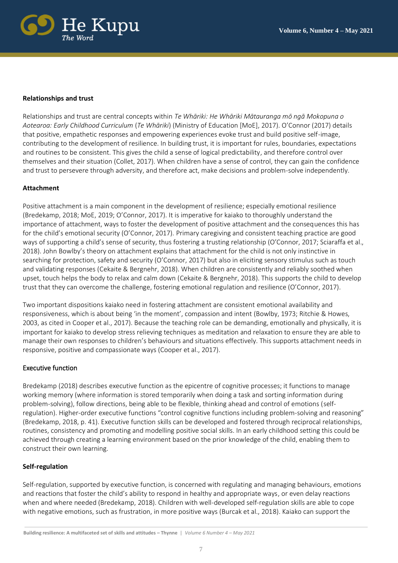

#### **Relationships and trust**

Relationships and trust are central concepts within *Te Whāriki: He Whāriki Mātauranga mō ngā Mokopuna o Aotearoa: Early Childhood Curriculum* (*Te Whāriki*) (Ministry of Education [MoE], 2017). O'Connor (2017) details that positive, empathetic responses and empowering experiences evoke trust and build positive self-image, contributing to the development of resilience. In building trust, it is important for rules, boundaries, expectations and routines to be consistent. This gives the child a sense of logical predictability, and therefore control over themselves and their situation (Collet, 2017). When children have a sense of control, they can gain the confidence and trust to persevere through adversity, and therefore act, make decisions and problem-solve independently.

#### **Attachment**

Positive attachment is a main component in the development of resilience; especially emotional resilience (Bredekamp, 2018; MoE, 2019; O'Connor, 2017). It is imperative for kaiako to thoroughly understand the importance of attachment, ways to foster the development of positive attachment and the consequences this has for the child's emotional security (O'Connor, 2017). Primary caregiving and consistent teaching practice are good ways of supporting a child's sense of security, thus fostering a trusting relationship (O'Connor, 2017; Sciaraffa et al., 2018). John Bowlby's theory on attachment explains that attachment for the child is not only instinctive in searching for protection, safety and security (O'Connor, 2017) but also in eliciting sensory stimulus such as touch and validating responses (Cekaite & Bergnehr, 2018). When children are consistently and reliably soothed when upset, touch helps the body to relax and calm down (Cekaite & Bergnehr, 2018). This supports the child to develop trust that they can overcome the challenge, fostering emotional regulation and resilience (O'Connor, 2017).

Two important dispositions kaiako need in fostering attachment are consistent emotional availability and responsiveness, which is about being 'in the moment', compassion and intent (Bowlby, 1973; Ritchie & Howes, 2003, as cited in Cooper et al., 2017). Because the teaching role can be demanding, emotionally and physically, it is important for kaiako to develop stress relieving techniques as meditation and relaxation to ensure they are able to manage their own responses to children's behaviours and situations effectively. This supports attachment needs in responsive, positive and compassionate ways (Cooper et al., 2017).

#### Executive function

Bredekamp (2018) describes executive function as the epicentre of cognitive processes; it functions to manage working memory (where information is stored temporarily when doing a task and sorting information during problem-solving), follow directions, being able to be flexible, thinking ahead and control of emotions (selfregulation). Higher-order executive functions "control cognitive functions including problem-solving and reasoning" (Bredekamp, 2018, p. 41). Executive function skills can be developed and fostered through reciprocal relationships, routines, consistency and promoting and modelling positive social skills. In an early childhood setting this could be achieved through creating a learning environment based on the prior knowledge of the child, enabling them to construct their own learning.

#### **Self-regulation**

Self-regulation, supported by executive function, is concerned with regulating and managing behaviours, emotions and reactions that foster the child's ability to respond in healthy and appropriate ways, or even delay reactions when and where needed (Bredekamp, 2018). Children with well-developed self-regulation skills are able to cope with negative emotions, such as frustration, in more positive ways (Burcak et al., 2018). Kaiako can support the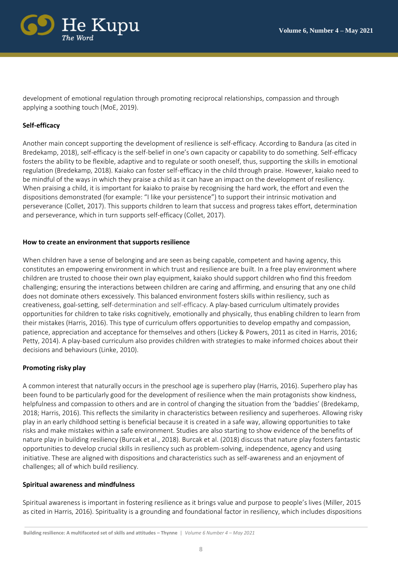

development of emotional regulation through promoting reciprocal relationships, compassion and through applying a soothing touch (MoE, 2019).

# **Self-efficacy**

Another main concept supporting the development of resilience is self-efficacy. According to Bandura (as cited in Bredekamp, 2018), self-efficacy is the self-belief in one's own capacity or capability to do something. Self-efficacy fosters the ability to be flexible, adaptive and to regulate or sooth oneself, thus, supporting the skills in emotional regulation (Bredekamp, 2018). Kaiako can foster self-efficacy in the child through praise. However, kaiako need to be mindful of the ways in which they praise a child as it can have an impact on the development of resiliency. When praising a child, it is important for kaiako to praise by recognising the hard work, the effort and even the dispositions demonstrated (for example: "I like your persistence") to support their intrinsic motivation and perseverance (Collet, 2017). This supports children to learn that success and progress takes effort, determination and perseverance, which in turn supports self-efficacy (Collet, 2017).

#### **How to create an environment that supports resilience**

When children have a sense of belonging and are seen as being capable, competent and having agency, this constitutes an empowering environment in which trust and resilience are built. In a free play environment where children are trusted to choose their own play equipment, kaiako should support children who find this freedom challenging; ensuring the interactions between children are caring and affirming, and ensuring that any one child does not dominate others excessively. This balanced environment fosters skills within resiliency, such as creativeness, goal-setting, self-determination and self-efficacy. A play-based curriculum ultimately provides opportunities for children to take risks cognitively, emotionally and physically, thus enabling children to learn from their mistakes (Harris, 2016). This type of curriculum offers opportunities to develop empathy and compassion, patience, appreciation and acceptance for themselves and others (Lickey & Powers, 2011 as cited in Harris, 2016; Petty, 2014). A play-based curriculum also provides children with strategies to make informed choices about their decisions and behaviours (Linke, 2010).

#### **Promoting risky play**

A common interest that naturally occurs in the preschool age is superhero play (Harris, 2016). Superhero play has been found to be particularly good for the development of resilience when the main protagonists show kindness, helpfulness and compassion to others and are in control of changing the situation from the 'baddies' (Bredekamp, 2018; Harris, 2016). This reflects the similarity in characteristics between resiliency and superheroes. Allowing risky play in an early childhood setting is beneficial because it is created in a safe way, allowing opportunities to take risks and make mistakes within a safe environment. Studies are also starting to show evidence of the benefits of nature play in building resiliency (Burcak et al., 2018). Burcak et al. (2018) discuss that nature play fosters fantastic opportunities to develop crucial skills in resiliency such as problem-solving, independence, agency and using initiative. These are aligned with dispositions and characteristics such as self-awareness and an enjoyment of challenges; all of which build resiliency.

#### **Spiritual awareness and mindfulness**

Spiritual awareness is important in fostering resilience as it brings value and purpose to people's lives (Miller, 2015 as cited in Harris, 2016). Spirituality is a grounding and foundational factor in resiliency, which includes dispositions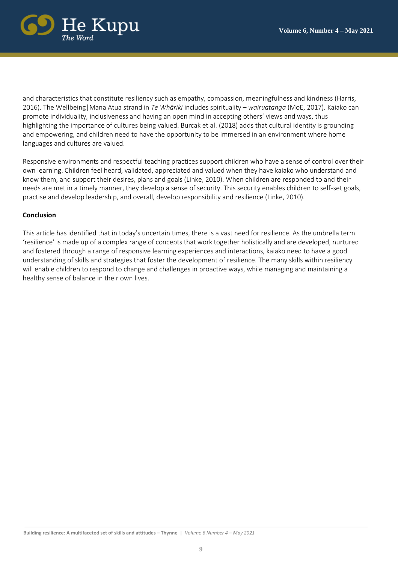

and characteristics that constitute resiliency such as empathy, compassion, meaningfulness and kindness (Harris, 2016). The Wellbeing|Mana Atua strand in *Te Whāriki* includes spirituality – *wairuatanga* (MoE, 2017). Kaiako can promote individuality, inclusiveness and having an open mind in accepting others' views and ways, thus highlighting the importance of cultures being valued. Burcak et al. (2018) adds that cultural identity is grounding and empowering, and children need to have the opportunity to be immersed in an environment where home languages and cultures are valued.

Responsive environments and respectful teaching practices support children who have a sense of control over their own learning. Children feel heard, validated, appreciated and valued when they have kaiako who understand and know them, and support their desires, plans and goals (Linke, 2010). When children are responded to and their needs are met in a timely manner, they develop a sense of security. This security enables children to self-set goals, practise and develop leadership, and overall, develop responsibility and resilience (Linke, 2010).

#### **Conclusion**

This article has identified that in today's uncertain times, there is a vast need for resilience. As the umbrella term 'resilience' is made up of a complex range of concepts that work together holistically and are developed, nurtured and fostered through a range of responsive learning experiences and interactions, kaiako need to have a good understanding of skills and strategies that foster the development of resilience. The many skills within resiliency will enable children to respond to change and challenges in proactive ways, while managing and maintaining a healthy sense of balance in their own lives.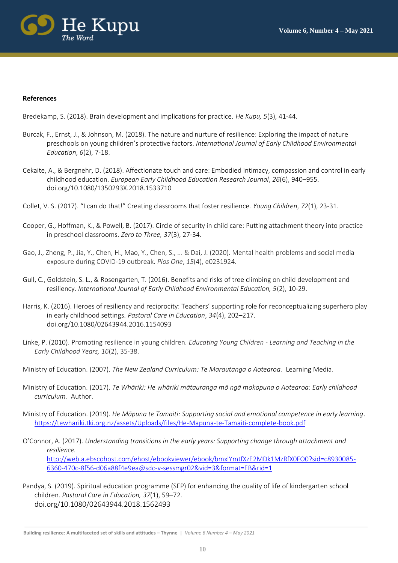

#### **References**

Bredekamp, S. (2018). Brain development and implications for practice. *He Kupu, 5*(3), 41-44.

- Burcak, F., Ernst, J., & Johnson, M. (2018). The nature and nurture of resilience: Exploring the impact of nature preschools on young children's protective factors. *International Journal of Early Childhood Environmental Education*, *6*(2), 7-18.
- Cekaite, A., & Bergnehr, D. (2018). Affectionate touch and care: Embodied intimacy, compassion and control in early childhood education*. European Early Childhood Education Research Journal*, *26*(6), 940–955. doi.org/10.1080/1350293X.2018.1533710
- Collet, V. S. (2017). "I can do that!" Creating classrooms that foster resilience. *Young Children*, *72*(1), 23-31.
- Cooper, G., Hoffman, K., & Powell, B. (2017). Circle of security in child care: Putting attachment theory into practice in preschool classrooms. *Zero to Three, 37*(3), 27-34*.*
- Gao, J., Zheng, P., Jia, Y., Chen, H., Mao, Y., Chen, S., ... & Dai, J. (2020). Mental health problems and social media exposure during COVID-19 outbreak. *Plos One*, *15*(4), e0231924.
- Gull, C., Goldstein, S. L., & Rosengarten, T. (2016). Benefits and risks of tree climbing on child development and resiliency. *International Journal of Early Childhood Environmental Education, 5*(2), 10-29.
- Harris, K. (2016). Heroes of resiliency and reciprocity: Teachers' supporting role for reconceptualizing superhero play in early childhood settings*. Pastoral Care in Education*, *34*(4), 202–217. [doi.org/10.1080/02643944.2016.1154093](about:blank)
- Linke, P. (2010). Promoting resilience in young children*. Educating Young Children - Learning and Teaching in the Early Childhood Years, 16*(2), 35-38.
- Ministry of Education. (2007). *The New Zealand Curriculum: Te Marautanga o Aotearoa.* Learning Media.
- Ministry of Education. (2017). *Te Whāriki: He whāriki mātauranga mō ngā mokopuna o Aotearoa: Early childhood curriculum.* Author.
- Ministry of Education. (2019). *He Māpuna te Tamaiti: Supporting social and emotional competence in early learning*. <https://tewhariki.tki.org.nz/assets/Uploads/files/He-Mapuna-te-Tamaiti-complete-book.pdf>
- O'Connor, A. (2017). *Understanding transitions in the early years: Supporting change through attachment and resilience.* [http://web.a.ebscohost.com/ehost/ebookviewer/ebook/bmxlYmtfXzE2MDk1MzRfX0FO0?sid=c8930085-](http://web.a.ebscohost.com/ehost/ebookviewer/ebook/bmxlYmtfXzE2MDk1MzRfX0FO0?sid=c8930085-6360-470c-8f56-d06a88f4e9ea@sdc-v-sessmgr02&vid=3&format=EB&rid=1) [6360-470c-8f56-d06a88f4e9ea@sdc-v-sessmgr02&vid=3&format=EB&rid=1](http://web.a.ebscohost.com/ehost/ebookviewer/ebook/bmxlYmtfXzE2MDk1MzRfX0FO0?sid=c8930085-6360-470c-8f56-d06a88f4e9ea@sdc-v-sessmgr02&vid=3&format=EB&rid=1)
- Pandya, S. (2019). Spiritual education programme (SEP) for enhancing the quality of life of kindergarten school children. *Pastoral Care in Education, 37*(1), 59–72. doi.org/10.1080/02643944.2018.1562493